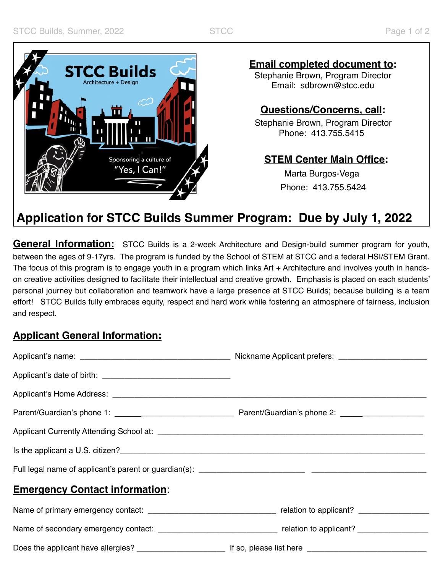

**Email completed document to:**

Stephanie Brown, Program Director Email: [sdbrown@stcc.edu](mailto:sdbrown@stcc.edu) 

## **Questions/Concerns, call:**

Stephanie Brown, Program Director Phone: 413.755.5415

### **STEM Center Main Office:**

 Marta Burgos-Vega Phone: 413.755.5424

# **Application for STCC Builds Summer Program: Due by July 1, 2022**

 **General Information:** STCC Builds is a 2-week Architecture and Design-build summer program for youth, personal journey but collaboration and teamwork have a large presence at STCC Builds; because building is a team effort! STCC Builds fully embraces equity, respect and hard work while fostering an atmosphere of fairness, inclusion between the ages of 9-17yrs. The program is funded by the School of STEM at STCC and a federal HSI/STEM Grant. The focus of this program is to engage youth in a program which links Art + Architecture and involves youth in handson creative activities designed to facilitate their intellectual and creative growth. Emphasis is placed on each students' and respect.

### **Applicant General Information:**

| <b>Emergency Contact information:</b> |  |
|---------------------------------------|--|
|                                       |  |
|                                       |  |
|                                       |  |